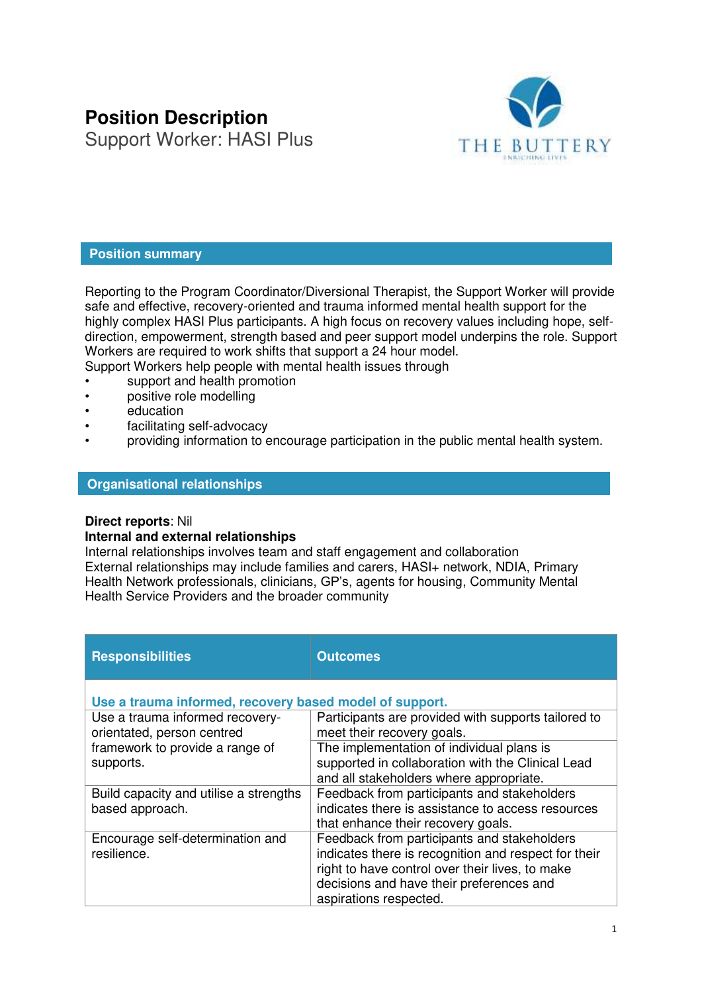# **Position Description**  Support Worker: HASI Plus



## **Position summary**

Reporting to the Program Coordinator/Diversional Therapist, the Support Worker will provide safe and effective, recovery-oriented and trauma informed mental health support for the highly complex HASI Plus participants. A high focus on recovery values including hope, selfdirection, empowerment, strength based and peer support model underpins the role. Support Workers are required to work shifts that support a 24 hour model.

Support Workers help people with mental health issues through

- support and health promotion
- positive role modelling
- **education**
- facilitating self-advocacy
- providing information to encourage participation in the public mental health system.

#### **Organisational relationships**

### **Direct reports**: Nil

#### **Internal and external relationships**

Internal relationships involves team and staff engagement and collaboration External relationships may include families and carers, HASI+ network, NDIA, Primary Health Network professionals, clinicians, GP's, agents for housing, Community Mental Health Service Providers and the broader community

| <b>Responsibilities</b>                                       | <b>Outcomes</b>                                                                                                                                                                                                              |  |  |
|---------------------------------------------------------------|------------------------------------------------------------------------------------------------------------------------------------------------------------------------------------------------------------------------------|--|--|
| Use a trauma informed, recovery based model of support.       |                                                                                                                                                                                                                              |  |  |
| Use a trauma informed recovery-<br>orientated, person centred | Participants are provided with supports tailored to<br>meet their recovery goals.                                                                                                                                            |  |  |
| framework to provide a range of<br>supports.                  | The implementation of individual plans is<br>supported in collaboration with the Clinical Lead<br>and all stakeholders where appropriate.                                                                                    |  |  |
| Build capacity and utilise a strengths<br>based approach.     | Feedback from participants and stakeholders<br>indicates there is assistance to access resources<br>that enhance their recovery goals.                                                                                       |  |  |
| Encourage self-determination and<br>resilience.               | Feedback from participants and stakeholders<br>indicates there is recognition and respect for their<br>right to have control over their lives, to make<br>decisions and have their preferences and<br>aspirations respected. |  |  |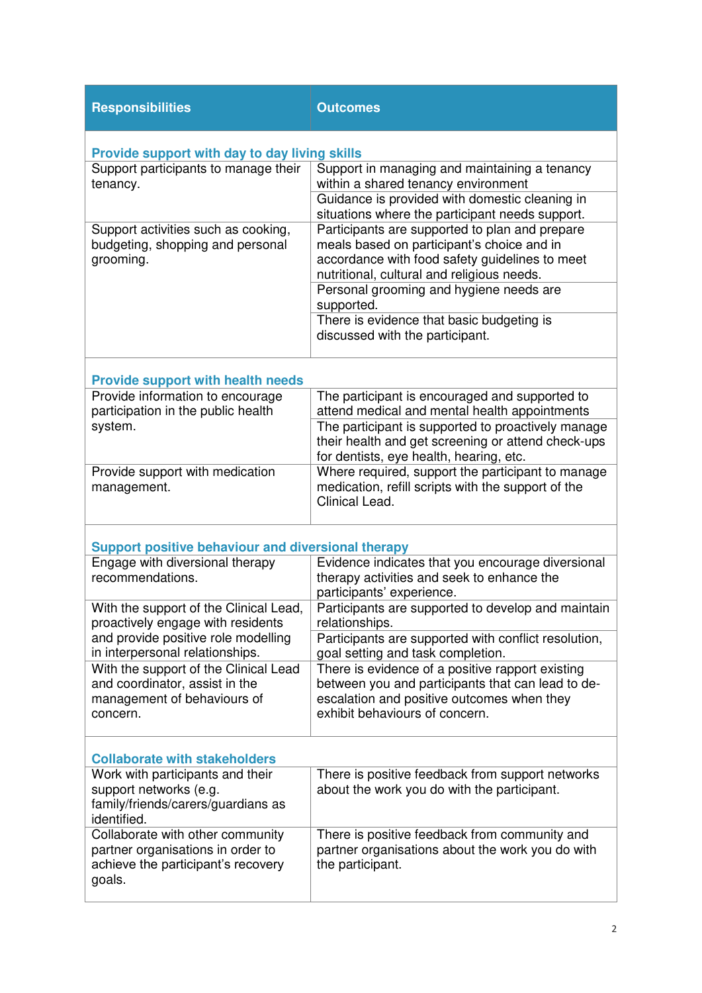| <b>Responsibilities</b>                                                                                               | <b>Outcomes</b>                                                                                                                                                                              |  |  |
|-----------------------------------------------------------------------------------------------------------------------|----------------------------------------------------------------------------------------------------------------------------------------------------------------------------------------------|--|--|
| Provide support with day to day living skills                                                                         |                                                                                                                                                                                              |  |  |
| Support participants to manage their<br>tenancy.                                                                      | Support in managing and maintaining a tenancy<br>within a shared tenancy environment                                                                                                         |  |  |
|                                                                                                                       | Guidance is provided with domestic cleaning in<br>situations where the participant needs support.                                                                                            |  |  |
| Support activities such as cooking,<br>budgeting, shopping and personal<br>grooming.                                  | Participants are supported to plan and prepare<br>meals based on participant's choice and in<br>accordance with food safety guidelines to meet<br>nutritional, cultural and religious needs. |  |  |
|                                                                                                                       | Personal grooming and hygiene needs are<br>supported.                                                                                                                                        |  |  |
|                                                                                                                       | There is evidence that basic budgeting is<br>discussed with the participant.                                                                                                                 |  |  |
| <b>Provide support with health needs</b>                                                                              |                                                                                                                                                                                              |  |  |
| Provide information to encourage<br>participation in the public health<br>system.                                     | The participant is encouraged and supported to<br>attend medical and mental health appointments                                                                                              |  |  |
|                                                                                                                       | The participant is supported to proactively manage<br>their health and get screening or attend check-ups<br>for dentists, eye health, hearing, etc.                                          |  |  |
| Provide support with medication<br>management.                                                                        | Where required, support the participant to manage<br>medication, refill scripts with the support of the<br>Clinical Lead.                                                                    |  |  |
| <b>Support positive behaviour and diversional therapy</b>                                                             |                                                                                                                                                                                              |  |  |
| Engage with diversional therapy<br>recommendations.                                                                   | Evidence indicates that you encourage diversional<br>therapy activities and seek to enhance the<br>participants' experience.                                                                 |  |  |
| With the support of the Clinical Lead,<br>proactively engage with residents                                           | Participants are supported to develop and maintain<br>relationships.                                                                                                                         |  |  |
| and provide positive role modelling<br>in interpersonal relationships.                                                | Participants are supported with conflict resolution,<br>goal setting and task completion.                                                                                                    |  |  |
| With the support of the Clinical Lead<br>and coordinator, assist in the<br>management of behaviours of<br>concern.    | There is evidence of a positive rapport existing<br>between you and participants that can lead to de-<br>escalation and positive outcomes when they<br>exhibit behaviours of concern.        |  |  |
| <b>Collaborate with stakeholders</b>                                                                                  |                                                                                                                                                                                              |  |  |
| Work with participants and their<br>support networks (e.g.<br>family/friends/carers/guardians as<br>identified.       | There is positive feedback from support networks<br>about the work you do with the participant.                                                                                              |  |  |
| Collaborate with other community<br>partner organisations in order to<br>achieve the participant's recovery<br>goals. | There is positive feedback from community and<br>partner organisations about the work you do with<br>the participant.                                                                        |  |  |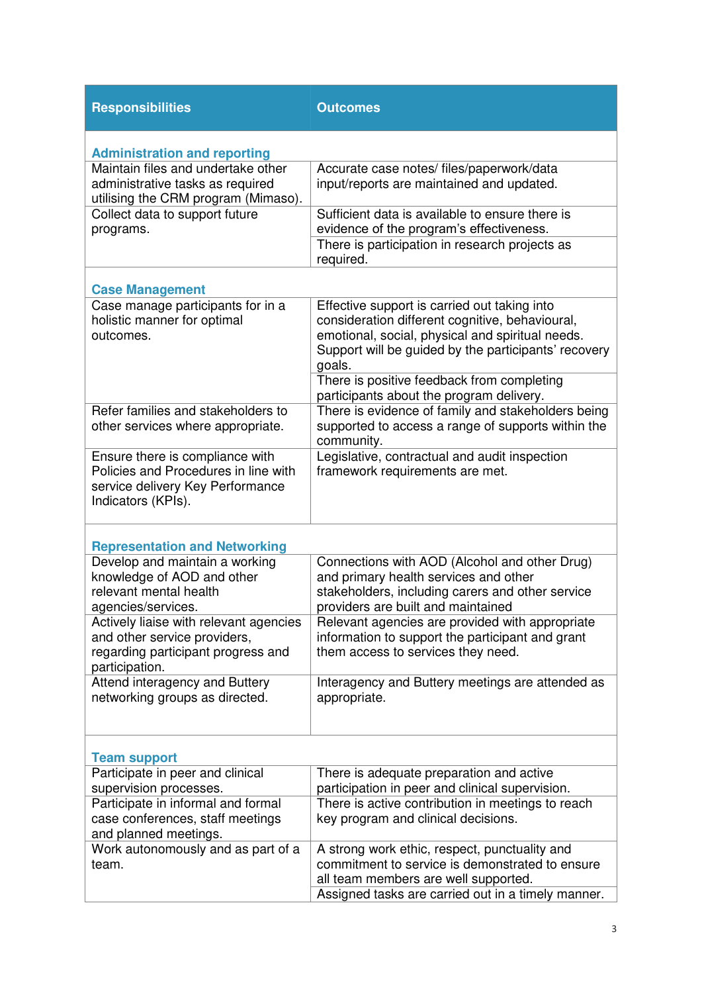| <b>Responsibilities</b>                                                                                                           | <b>Outcomes</b>                                                                                                                                                                                                       |
|-----------------------------------------------------------------------------------------------------------------------------------|-----------------------------------------------------------------------------------------------------------------------------------------------------------------------------------------------------------------------|
| <b>Administration and reporting</b>                                                                                               |                                                                                                                                                                                                                       |
| Maintain files and undertake other<br>administrative tasks as required<br>utilising the CRM program (Mimaso).                     | Accurate case notes/ files/paperwork/data<br>input/reports are maintained and updated.                                                                                                                                |
| Collect data to support future<br>programs.                                                                                       | Sufficient data is available to ensure there is<br>evidence of the program's effectiveness.                                                                                                                           |
|                                                                                                                                   | There is participation in research projects as<br>required.                                                                                                                                                           |
| <b>Case Management</b>                                                                                                            |                                                                                                                                                                                                                       |
| Case manage participants for in a<br>holistic manner for optimal<br>outcomes.                                                     | Effective support is carried out taking into<br>consideration different cognitive, behavioural,<br>emotional, social, physical and spiritual needs.<br>Support will be guided by the participants' recovery<br>goals. |
|                                                                                                                                   | There is positive feedback from completing<br>participants about the program delivery.                                                                                                                                |
| Refer families and stakeholders to<br>other services where appropriate.                                                           | There is evidence of family and stakeholders being<br>supported to access a range of supports within the<br>community.                                                                                                |
| Ensure there is compliance with<br>Policies and Procedures in line with<br>service delivery Key Performance<br>Indicators (KPIs). | Legislative, contractual and audit inspection<br>framework requirements are met.                                                                                                                                      |
| <b>Representation and Networking</b>                                                                                              |                                                                                                                                                                                                                       |
| Develop and maintain a working<br>knowledge of AOD and other<br>relevant mental health<br>agencies/services.                      | Connections with AOD (Alcohol and other Drug)<br>and primary health services and other<br>stakeholders, including carers and other service<br>providers are built and maintained                                      |
| Actively liaise with relevant agencies<br>and other service providers,<br>regarding participant progress and<br>participation.    | Relevant agencies are provided with appropriate<br>information to support the participant and grant<br>them access to services they need.                                                                             |
| Attend interagency and Buttery<br>networking groups as directed.                                                                  | Interagency and Buttery meetings are attended as<br>appropriate.                                                                                                                                                      |
| <b>Team support</b>                                                                                                               |                                                                                                                                                                                                                       |
| Participate in peer and clinical<br>supervision processes.                                                                        | There is adequate preparation and active<br>participation in peer and clinical supervision.                                                                                                                           |
| Participate in informal and formal<br>case conferences, staff meetings<br>and planned meetings.                                   | There is active contribution in meetings to reach<br>key program and clinical decisions.                                                                                                                              |
| Work autonomously and as part of a<br>team.                                                                                       | A strong work ethic, respect, punctuality and<br>commitment to service is demonstrated to ensure<br>all team members are well supported.<br>Assigned tasks are carried out in a timely manner.                        |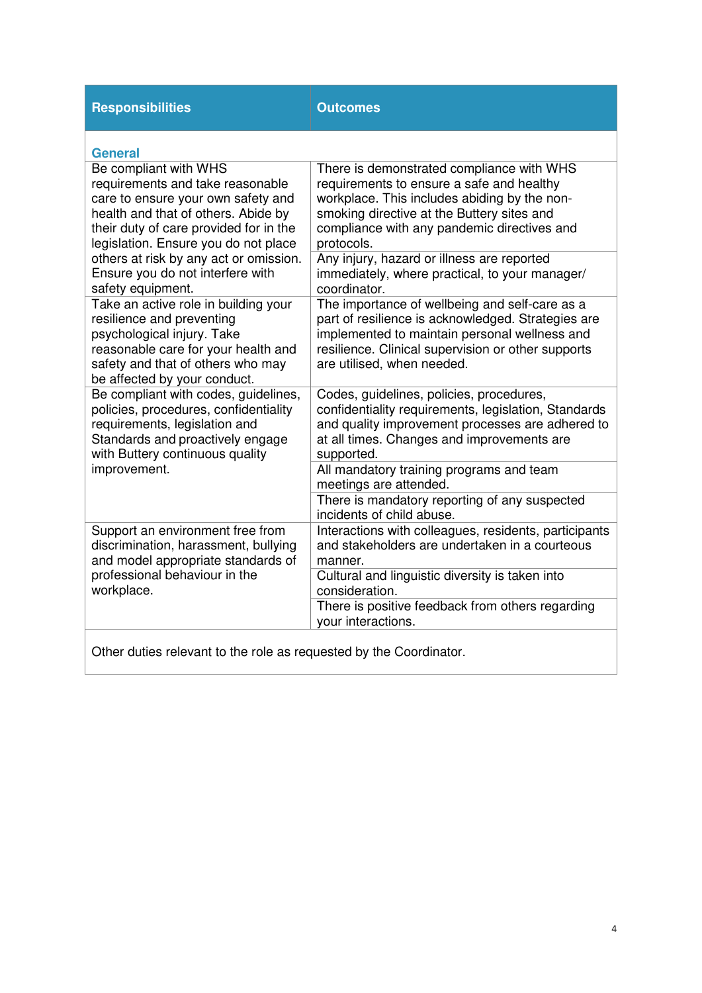| <b>Responsibilities</b>                                                                                                                                                                                                                                                                                                     | <b>Outcomes</b>                                                                                                                                                                                                                                   |
|-----------------------------------------------------------------------------------------------------------------------------------------------------------------------------------------------------------------------------------------------------------------------------------------------------------------------------|---------------------------------------------------------------------------------------------------------------------------------------------------------------------------------------------------------------------------------------------------|
| <b>General</b>                                                                                                                                                                                                                                                                                                              |                                                                                                                                                                                                                                                   |
| Be compliant with WHS<br>requirements and take reasonable<br>care to ensure your own safety and<br>health and that of others. Abide by<br>their duty of care provided for in the<br>legislation. Ensure you do not place<br>others at risk by any act or omission.<br>Ensure you do not interfere with<br>safety equipment. | There is demonstrated compliance with WHS<br>requirements to ensure a safe and healthy<br>workplace. This includes abiding by the non-<br>smoking directive at the Buttery sites and<br>compliance with any pandemic directives and<br>protocols. |
|                                                                                                                                                                                                                                                                                                                             | Any injury, hazard or illness are reported<br>immediately, where practical, to your manager/<br>coordinator.                                                                                                                                      |
| Take an active role in building your<br>resilience and preventing<br>psychological injury. Take<br>reasonable care for your health and<br>safety and that of others who may<br>be affected by your conduct.                                                                                                                 | The importance of wellbeing and self-care as a<br>part of resilience is acknowledged. Strategies are<br>implemented to maintain personal wellness and<br>resilience. Clinical supervision or other supports<br>are utilised, when needed.         |
| Be compliant with codes, guidelines,<br>policies, procedures, confidentiality<br>requirements, legislation and<br>Standards and proactively engage<br>with Buttery continuous quality<br>improvement.                                                                                                                       | Codes, guidelines, policies, procedures,<br>confidentiality requirements, legislation, Standards<br>and quality improvement processes are adhered to<br>at all times. Changes and improvements are<br>supported.                                  |
|                                                                                                                                                                                                                                                                                                                             | All mandatory training programs and team<br>meetings are attended.                                                                                                                                                                                |
|                                                                                                                                                                                                                                                                                                                             | There is mandatory reporting of any suspected<br>incidents of child abuse.                                                                                                                                                                        |
| Support an environment free from<br>discrimination, harassment, bullying<br>and model appropriate standards of<br>professional behaviour in the<br>workplace.                                                                                                                                                               | Interactions with colleagues, residents, participants<br>and stakeholders are undertaken in a courteous<br>manner.                                                                                                                                |
|                                                                                                                                                                                                                                                                                                                             | Cultural and linguistic diversity is taken into<br>consideration.                                                                                                                                                                                 |
|                                                                                                                                                                                                                                                                                                                             | There is positive feedback from others regarding<br>your interactions.                                                                                                                                                                            |
| Other duties relevant to the role as requested by the Coordinator.                                                                                                                                                                                                                                                          |                                                                                                                                                                                                                                                   |